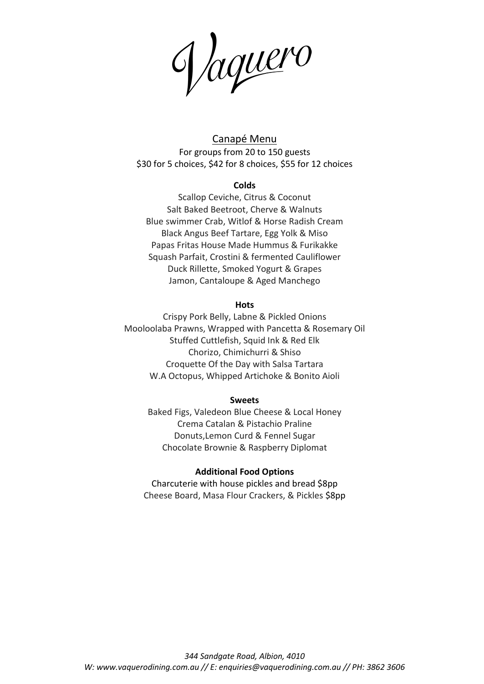Jaquero

Canapé Menu For groups from 20 to 150 guests \$30 for 5 choices, \$42 for 8 choices, \$55 for 12 choices

#### **Colds**

Scallop Ceviche, Citrus & Coconut Salt Baked Beetroot, Cherve & Walnuts Blue swimmer Crab, Witlof & Horse Radish Cream Black Angus Beef Tartare, Egg Yolk & Miso Papas Fritas House Made Hummus & Furikakke Squash Parfait, Crostini & fermented Cauliflower Duck Rillette, Smoked Yogurt & Grapes Jamon, Cantaloupe & Aged Manchego

#### **Hots**

Crispy Pork Belly, Labne & Pickled Onions Mooloolaba Prawns, Wrapped with Pancetta & Rosemary Oil Stuffed Cuttlefish, Squid Ink & Red Elk Chorizo, Chimichurri & Shiso Croquette Of the Day with Salsa Tartara W.A Octopus, Whipped Artichoke & Bonito Aioli

### **Sweets**

Baked Figs, Valedeon Blue Cheese & Local Honey Crema Catalan & Pistachio Praline Donuts,Lemon Curd & Fennel Sugar Chocolate Brownie & Raspberry Diplomat

### **Additional Food Options**

Charcuterie with house pickles and bread \$8pp Cheese Board, Masa Flour Crackers, & Pickles \$8pp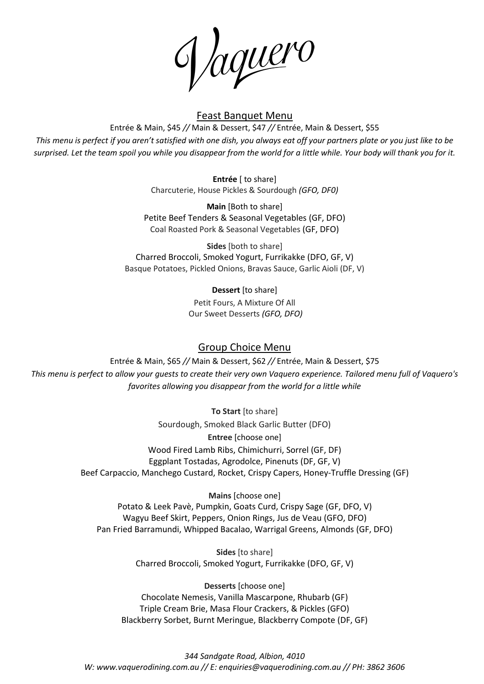Jaquero

# Feast Banquet Menu

Entrée & Main, \$45 *//* Main & Dessert, \$47 *//* Entrée, Main & Dessert, \$55 *This menu is perfect if you aren't satisfied with one dish, you always eat off your partners plate or you just like to be surprised. Let the team spoil you while you disappear from the world for a little while. Your body will thank you for it.* 

> **Entrée** [ to share] Charcuterie, House Pickles & Sourdough *(GFO, DF0)*

**Main** [Both to share] Petite Beef Tenders & Seasonal Vegetables (GF, DFO) Coal Roasted Pork & Seasonal Vegetables (GF, DFO)

**Sides** [both to share] Charred Broccoli, Smoked Yogurt, Furrikakke (DFO, GF, V) Basque Potatoes, Pickled Onions, Bravas Sauce, Garlic Aioli (DF, V)

**Dessert** [to share]

Petit Fours, A Mixture Of All Our Sweet Desserts *(GFO, DFO)*

# Group Choice Menu

Entrée & Main, \$65 *//* Main & Dessert, \$62 *//* Entrée, Main & Dessert, \$75 *This menu is perfect to allow your guests to create their very own Vaquero experience. Tailored menu full of Vaquero's favorites allowing you disappear from the world for a little while*

> **To Start** [to share] Sourdough, Smoked Black Garlic Butter (DFO) **Entree** [choose one] Wood Fired Lamb Ribs, Chimichurri, Sorrel (GF, DF) Eggplant Tostadas, Agrodolce, Pinenuts (DF, GF, V) Beef Carpaccio, Manchego Custard, Rocket, Crispy Capers, Honey-Truffle Dressing (GF)

**Mains** [choose one] Potato & Leek Pavè, Pumpkin, Goats Curd, Crispy Sage (GF, DFO, V) Wagyu Beef Skirt, Peppers, Onion Rings, Jus de Veau (GFO, DFO) Pan Fried Barramundi, Whipped Bacalao, Warrigal Greens, Almonds (GF, DFO)

> **Sides** [to share] Charred Broccoli, Smoked Yogurt, Furrikakke (DFO, GF, V)

**Desserts** [choose one] Chocolate Nemesis, Vanilla Mascarpone, Rhubarb (GF) Triple Cream Brie, Masa Flour Crackers, & Pickles (GFO) Blackberry Sorbet, Burnt Meringue, Blackberry Compote (DF, GF)

*344 Sandgate Road, Albion, 4010 W: www.vaquerodining.com.au // E: enquiries@vaquerodining.com.au // PH: 3862 3606*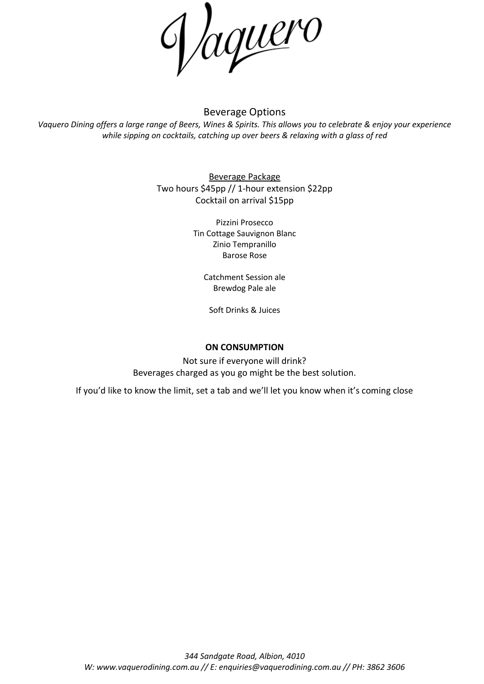

## Beverage Options

*Vaquero Dining offers a large range of Beers, Wines & Spirits. This allows you to celebrate & enjoy your experience while sipping on cocktails, catching up over beers & relaxing with a glass of red*

> Beverage Package Two hours \$45pp // 1-hour extension \$22pp Cocktail on arrival \$15pp

> > Pizzini Prosecco Tin Cottage Sauvignon Blanc Zinio Tempranillo Barose Rose

Catchment Session ale Brewdog Pale ale

Soft Drinks & Juices

## **ON CONSUMPTION**

Not sure if everyone will drink? Beverages charged as you go might be the best solution.

If you'd like to know the limit, set a tab and we'll let you know when it's coming close